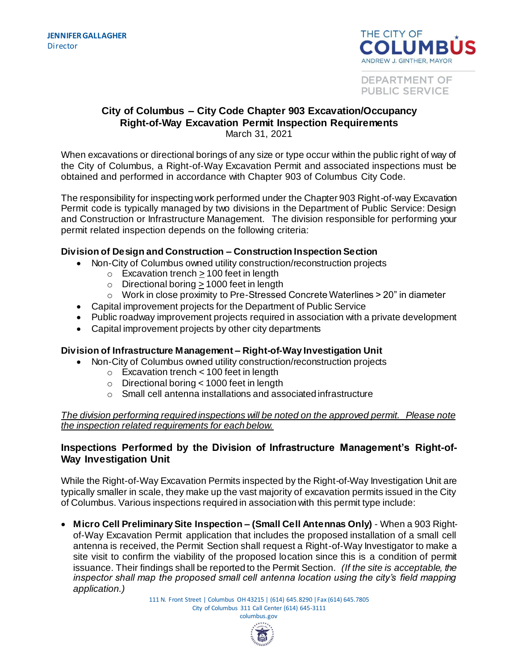

DEPARTMENT OF PUBLIC SERVICE

### **City of Columbus – City Code Chapter 903 Excavation/Occupancy Right-of-Way Excavation Permit Inspection Requirements** March 31, 2021

When excavations or directional borings of any size or type occur within the public right of way of the City of Columbus, a Right-of-Way Excavation Permit and associated inspections must be obtained and performed in accordance with Chapter 903 of Columbus City Code.

The responsibility for inspecting work performed under the Chapter 903 Right-of-way Excavation Permit code is typically managed by two divisions in the Department of Public Service: Design and Construction or Infrastructure Management. The division responsible for performing your permit related inspection depends on the following criteria:

### **Division of Design and Construction – Construction Inspection Section**

- Non-City of Columbus owned utility construction/reconstruction projects
	- $\circ$  Excavation trench  $\geq$  100 feet in length
	- o Directional boring  $\geq 1000$  feet in length
	- $\circ$  Work in close proximity to Pre-Stressed Concrete Waterlines  $>$  20" in diameter
- Capital improvement projects for the Department of Public Service
- Public roadway improvement projects required in association with a private development
- Capital improvement projects by other city departments

# **Division of Infrastructure Management – Right-of-Way Investigation Unit**

- Non-City of Columbus owned utility construction/reconstruction projects
	- o Excavation trench < 100 feet in length
	- o Directional boring < 1000 feet in length
	- o Small cell antenna installations and associated infrastructure

### *The division performing required inspections will be noted on the approved permit. Please note the inspection related requirements for each below.*

### **Inspections Performed by the Division of Infrastructure Management's Right-of-Way Investigation Unit**

While the Right-of-Way Excavation Permits inspected by the Right-of-Way Investigation Unit are typically smaller in scale, they make up the vast majority of excavation permits issued in the City of Columbus. Various inspections required in association with this permit type include:

 **Micro Cell Preliminary Site Inspection – (Small Cell Antennas Only)** - When a 903 Rightof-Way Excavation Permit application that includes the proposed installation of a small cell antenna is received, the Permit Section shall request a Right-of-Way Investigator to make a site visit to confirm the viability of the proposed location since this is a condition of permit issuance. Their findings shall be reported to the Permit Section. *(If the site is acceptable, the inspector shall map the proposed small cell antenna location using the city's field mapping application.)* 

> 111 N. Front Street | Columbus OH 43215 | (614) 645.8290 |Fax (614) 645.7805 City of Columbus 311 Call Center (614) 645-3111 columbus.gov

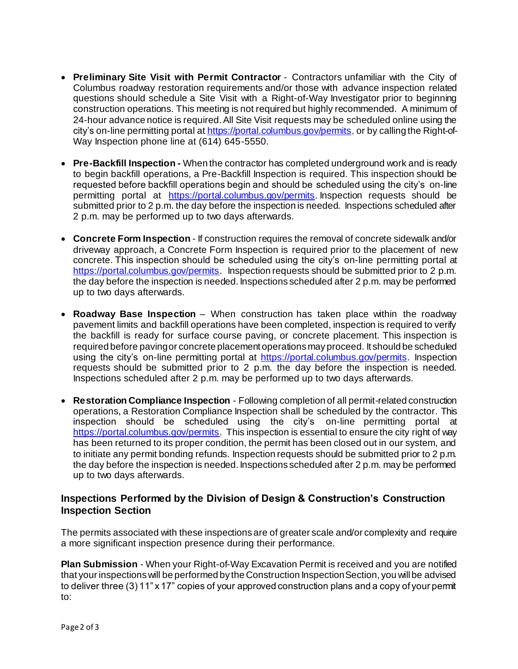- **Preliminary Site Visit with Permit Contractor**  Contractors unfamiliar with the City of Columbus roadway restoration requirements and/or those with advance inspection related questions should schedule a Site Visit with a Right-of-Way Investigator prior to beginning construction operations. This meeting is not required but highly recommended. A minimum of 24-hour advance notice is required. All Site Visit requests may be scheduled online using the city's on-line permitting portal a[t https://portal.columbus.gov/permits](https://portal.columbus.gov/permits,), or by calling the Right-of-Way Inspection phone line at (614) 645-5550.
- **Pre-Backfill Inspection -** When the contractor has completed underground work and is ready to begin backfill operations, a Pre-Backfill Inspection is required. This inspection should be requested before backfill operations begin and should be scheduled using the city's on-line permitting portal at [https://portal.columbus.gov/permits](https://portal.columbus.gov/permits,). Inspection requests should be submitted prior to 2 p.m. the day before the inspection is needed. Inspections scheduled after 2 p.m. may be performed up to two days afterwards.
- **Concrete Form Inspection** If construction requires the removal of concrete sidewalk and/or driveway approach, a Concrete Form Inspection is required prior to the placement of new concrete. This inspection should be scheduled using the city's on-line permitting portal at [https://portal.columbus.gov/permits](https://portal.columbus.gov/permits,). Inspection requests should be submitted prior to 2 p.m. the day before the inspection is needed. Inspections scheduled after 2 p.m. may be performed up to two days afterwards.
- **Roadway Base Inspection** When construction has taken place within the roadway pavement limits and backfill operations have been completed, inspection is required to verify the backfill is ready for surface course paving, or concrete placement. This inspection is required before paving or concrete placement operations may proceed. It should be scheduled using the city's on-line permitting portal at [https://portal.columbus.gov/permits](https://portal.columbus.gov/permits,). Inspection requests should be submitted prior to 2 p.m. the day before the inspection is needed. Inspections scheduled after 2 p.m. may be performed up to two days afterwards.
- **Restoration Compliance Inspection** Following completion of all permit-related construction operations, a Restoration Compliance Inspection shall be scheduled by the contractor. This inspection should be scheduled using the city's on-line permitting portal at [https://portal.columbus.gov/permits](https://portal.columbus.gov/permits,). This inspection is essential to ensure the city right of way has been returned to its proper condition, the permit has been closed out in our system, and to initiate any permit bonding refunds. Inspection requests should be submitted prior to 2 p.m. the day before the inspection is needed. Inspections scheduled after 2 p.m. may be performed up to two days afterwards.

# **Inspections Performed by the Division of Design & Construction's Construction Inspection Section**

The permits associated with these inspections are of greater scale and/or complexity and require a more significant inspection presence during their performance.

**Plan Submission** - When your Right-of-Way Excavation Permit is received and you are notified that your inspections will be performed by the Construction Inspection Section, you will be advised to deliver three (3) 11" x 17" copies of your approved construction plans and a copy of your permit to: